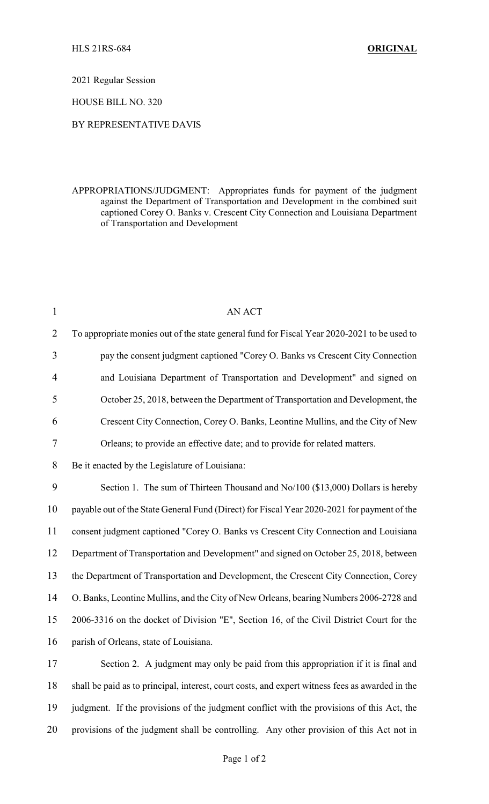2021 Regular Session

HOUSE BILL NO. 320

## BY REPRESENTATIVE DAVIS

APPROPRIATIONS/JUDGMENT: Appropriates funds for payment of the judgment against the Department of Transportation and Development in the combined suit captioned Corey O. Banks v. Crescent City Connection and Louisiana Department of Transportation and Development

| $\mathbf{1}$   | <b>AN ACT</b>                                                                                   |
|----------------|-------------------------------------------------------------------------------------------------|
| $\overline{2}$ | To appropriate monies out of the state general fund for Fiscal Year 2020-2021 to be used to     |
| 3              | pay the consent judgment captioned "Corey O. Banks vs Crescent City Connection                  |
| 4              | and Louisiana Department of Transportation and Development" and signed on                       |
| 5              | October 25, 2018, between the Department of Transportation and Development, the                 |
| 6              | Crescent City Connection, Corey O. Banks, Leontine Mullins, and the City of New                 |
| 7              | Orleans; to provide an effective date; and to provide for related matters.                      |
| 8              | Be it enacted by the Legislature of Louisiana:                                                  |
| 9              | Section 1. The sum of Thirteen Thousand and No/100 (\$13,000) Dollars is hereby                 |
| 10             | payable out of the State General Fund (Direct) for Fiscal Year 2020-2021 for payment of the     |
| 11             | consent judgment captioned "Corey O. Banks vs Crescent City Connection and Louisiana            |
| 12             | Department of Transportation and Development" and signed on October 25, 2018, between           |
| 13             | the Department of Transportation and Development, the Crescent City Connection, Corey           |
| 14             | O. Banks, Leontine Mullins, and the City of New Orleans, bearing Numbers 2006-2728 and          |
| 15             | 2006-3316 on the docket of Division "E", Section 16, of the Civil District Court for the        |
| 16             | parish of Orleans, state of Louisiana.                                                          |
| 17             | Section 2. A judgment may only be paid from this appropriation if it is final and               |
| 18             | shall be paid as to principal, interest, court costs, and expert witness fees as awarded in the |
| 19             | judgment. If the provisions of the judgment conflict with the provisions of this Act, the       |
| 20             | provisions of the judgment shall be controlling. Any other provision of this Act not in         |